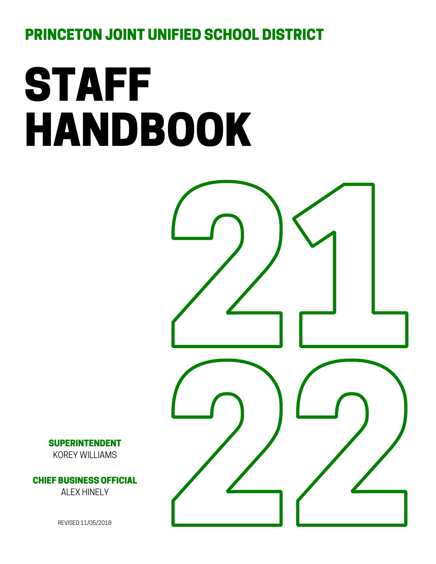PRINCETON JOINT UNIFIED SCHOOL DISTRICT

# STAFF HANDBOOK



SUPERINTENDENT KOREY WILLIAMS

CHIEF BUSINESS OFFICIAL ALEX HINELY

REVISED 11/05/2018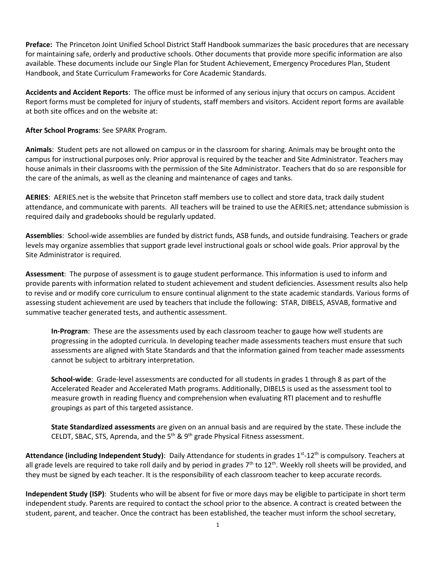**Preface:** The Princeton Joint Unified School District Staff Handbook summarizes the basic procedures that are necessary for maintaining safe, orderly and productive schools. Other documents that provide more specific information are also available. These documents include our Single Plan for Student Achievement, Emergency Procedures Plan, Student Handbook, and State Curriculum Frameworks for Core Academic Standards.

**Accidents and Accident Reports**: The office must be informed of any serious injury that occurs on campus. Accident Report forms must be completed for injury of students, staff members and visitors. Accident report forms are available at both site offices and on the website at:

**After School Programs**: See SPARK Program.

**Animals**: Student pets are not allowed on campus or in the classroom for sharing. Animals may be brought onto the campus for instructional purposes only. Prior approval is required by the teacher and Site Administrator. Teachers may house animals in their classrooms with the permission of the Site Administrator. Teachers that do so are responsible for the care of the animals, as well as the cleaning and maintenance of cages and tanks.

**AERIES**: AERIES.net is the website that Princeton staff members use to collect and store data, track daily student attendance, and communicate with parents. All teachers will be trained to use the AERIES.net; attendance submission is required daily and gradebooks should be regularly updated.

**Assemblies**: School-wide assemblies are funded by district funds, ASB funds, and outside fundraising. Teachers or grade levels may organize assemblies that support grade level instructional goals or school wide goals. Prior approval by the Site Administrator is required.

**Assessment**: The purpose of assessment is to gauge student performance. This information is used to inform and provide parents with information related to student achievement and student deficiencies. Assessment results also help to revise and or modify core curriculum to ensure continual alignment to the state academic standards. Various forms of assessing student achievement are used by teachers that include the following: STAR, DIBELS, ASVAB, formative and summative teacher generated tests, and authentic assessment.

**In-Program**: These are the assessments used by each classroom teacher to gauge how well students are progressing in the adopted curricula. In developing teacher made assessments teachers must ensure that such assessments are aligned with State Standards and that the information gained from teacher made assessments cannot be subject to arbitrary interpretation.

**School-wide**: Grade-level assessments are conducted for all students in grades 1 through 8 as part of the Accelerated Reader and Accelerated Math programs. Additionally, DIBELS is used as the assessment tool to measure growth in reading fluency and comprehension when evaluating RTI placement and to reshuffle groupings as part of this targeted assistance.

**State Standardized assessments** are given on an annual basis and are required by the state. These include the CELDT, SBAC, STS, Aprenda, and the  $5<sup>th</sup>$  &  $9<sup>th</sup>$  grade Physical Fitness assessment.

Attendance (including Independent Study): Daily Attendance for students in grades 1<sup>st</sup>-12<sup>th</sup> is compulsory. Teachers at all grade levels are required to take roll daily and by period in grades  $7<sup>th</sup>$  to  $12<sup>th</sup>$ . Weekly roll sheets will be provided, and they must be signed by each teacher. It is the responsibility of each classroom teacher to keep accurate records.

**Independent Study (ISP)**: Students who will be absent for five or more days may be eligible to participate in short term independent study. Parents are required to contact the school prior to the absence. A contract is created between the student, parent, and teacher. Once the contract has been established, the teacher must inform the school secretary,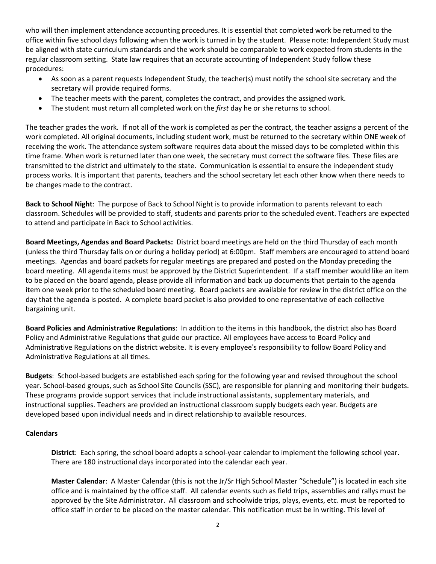who will then implement attendance accounting procedures. It is essential that completed work be returned to the office within five school days following when the work is turned in by the student. Please note: Independent Study must be aligned with state curriculum standards and the work should be comparable to work expected from students in the regular classroom setting. State law requires that an accurate accounting of Independent Study follow these procedures:

- As soon as a parent requests Independent Study, the teacher(s) must notify the school site secretary and the secretary will provide required forms.
- The teacher meets with the parent, completes the contract, and provides the assigned work.
- The student must return all completed work on the *first* day he or she returns to school.

The teacher grades the work. If not all of the work is completed as per the contract, the teacher assigns a percent of the work completed. All original documents, including student work, must be returned to the secretary within ONE week of receiving the work. The attendance system software requires data about the missed days to be completed within this time frame. When work is returned later than one week, the secretary must correct the software files. These files are transmitted to the district and ultimately to the state. Communication is essential to ensure the independent study process works. It is important that parents, teachers and the school secretary let each other know when there needs to be changes made to the contract.

**Back to School Night**: The purpose of Back to School Night is to provide information to parents relevant to each classroom. Schedules will be provided to staff, students and parents prior to the scheduled event. Teachers are expected to attend and participate in Back to School activities.

**Board Meetings, Agendas and Board Packets:** District board meetings are held on the third Thursday of each month (unless the third Thursday falls on or during a holiday period) at 6:00pm. Staff members are encouraged to attend board meetings. Agendas and board packets for regular meetings are prepared and posted on the Monday preceding the board meeting. All agenda items must be approved by the District Superintendent*.* If a staff member would like an item to be placed on the board agenda, please provide all information and back up documents that pertain to the agenda item one week prior to the scheduled board meeting. Board packets are available for review in the district office on the day that the agenda is posted. A complete board packet is also provided to one representative of each collective bargaining unit.

**Board Policies and Administrative Regulations**: In addition to the items in this handbook, the district also has Board Policy and Administrative Regulations that guide our practice. All employees have access to Board Policy and Administrative Regulations on the district website. It is every employee's responsibility to follow Board Policy and Administrative Regulations at all times.

**Budgets**: School-based budgets are established each spring for the following year and revised throughout the school year. School-based groups, such as School Site Councils (SSC), are responsible for planning and monitoring their budgets. These programs provide support services that include instructional assistants, supplementary materials, and instructional supplies. Teachers are provided an instructional classroom supply budgets each year. Budgets are developed based upon individual needs and in direct relationship to available resources.

# **Calendars**

**District**: Each spring, the school board adopts a school-year calendar to implement the following school year. There are 180 instructional days incorporated into the calendar each year.

**Master Calendar**: A Master Calendar (this is not the Jr/Sr High School Master "Schedule") is located in each site office and is maintained by the office staff. All calendar events such as field trips, assemblies and rallys must be approved by the Site Administrator. All classroom and schoolwide trips, plays, events, etc. must be reported to office staff in order to be placed on the master calendar. This notification must be in writing. This level of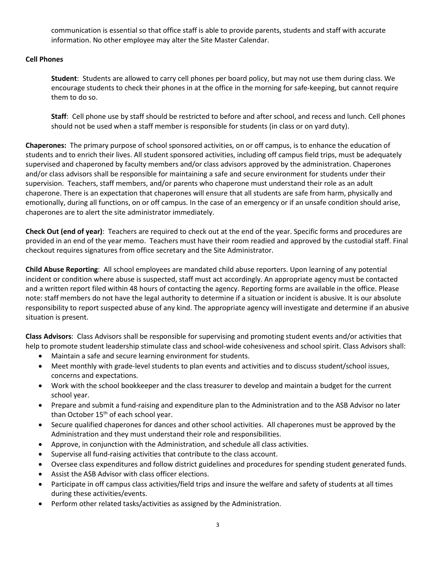communication is essential so that office staff is able to provide parents, students and staff with accurate information. No other employee may alter the Site Master Calendar.

# **Cell Phones**

**Student**: Students are allowed to carry cell phones per board policy, but may not use them during class. We encourage students to check their phones in at the office in the morning for safe-keeping, but cannot require them to do so.

**Staff**: Cell phone use by staff should be restricted to before and after school, and recess and lunch. Cell phones should not be used when a staff member is responsible for students (in class or on yard duty).

**Chaperones:** The primary purpose of school sponsored activities, on or off campus, is to enhance the education of students and to enrich their lives. All student sponsored activities, including off campus field trips, must be adequately supervised and chaperoned by faculty members and/or class advisors approved by the administration. Chaperones and/or class advisors shall be responsible for maintaining a safe and secure environment for students under their supervision. Teachers, staff members, and/or parents who chaperone must understand their role as an adult chaperone. There is an expectation that chaperones will ensure that all students are safe from harm, physically and emotionally, during all functions, on or off campus. In the case of an emergency or if an unsafe condition should arise, chaperones are to alert the site administrator immediately.

**Check Out (end of year)**: Teachers are required to check out at the end of the year. Specific forms and procedures are provided in an end of the year memo. Teachers must have their room readied and approved by the custodial staff. Final checkout requires signatures from office secretary and the Site Administrator.

**Child Abuse Reporting**: All school employees are mandated child abuse reporters. Upon learning of any potential incident or condition where abuse is suspected, staff must act accordingly. An appropriate agency must be contacted and a written report filed within 48 hours of contacting the agency. Reporting forms are available in the office. Please note: staff members do not have the legal authority to determine if a situation or incident is abusive. It is our absolute responsibility to report suspected abuse of any kind. The appropriate agency will investigate and determine if an abusive situation is present.

**Class Advisors**: Class Advisors shall be responsible for supervising and promoting student events and/or activities that help to promote student leadership stimulate class and school-wide cohesiveness and school spirit. Class Advisors shall:

- Maintain a safe and secure learning environment for students.
- Meet monthly with grade-level students to plan events and activities and to discuss student/school issues, concerns and expectations.
- Work with the school bookkeeper and the class treasurer to develop and maintain a budget for the current school year.
- Prepare and submit a fund-raising and expenditure plan to the Administration and to the ASB Advisor no later than October 15<sup>th</sup> of each school year.
- Secure qualified chaperones for dances and other school activities. All chaperones must be approved by the Administration and they must understand their role and responsibilities.
- Approve, in conjunction with the Administration, and schedule all class activities.
- Supervise all fund-raising activities that contribute to the class account.
- Oversee class expenditures and follow district guidelines and procedures for spending student generated funds.
- Assist the ASB Advisor with class officer elections.
- Participate in off campus class activities/field trips and insure the welfare and safety of students at all times during these activities/events.
- Perform other related tasks/activities as assigned by the Administration.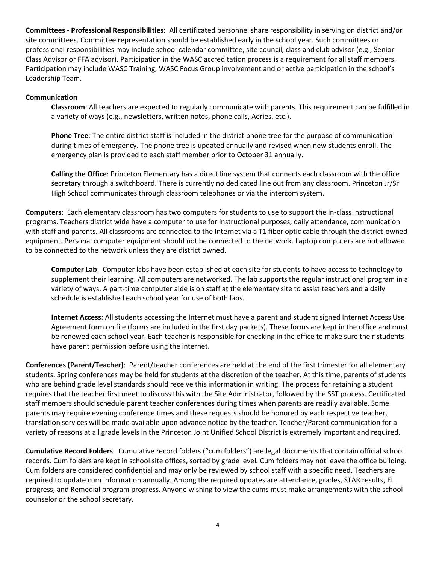**Committees - Professional Responsibilities**: All certificated personnel share responsibility in serving on district and/or site committees. Committee representation should be established early in the school year. Such committees or professional responsibilities may include school calendar committee, site council, class and club advisor (e.g., Senior Class Advisor or FFA advisor). Participation in the WASC accreditation process is a requirement for all staff members. Participation may include WASC Training, WASC Focus Group involvement and or active participation in the school's Leadership Team.

# **Communication**

**Classroom**: All teachers are expected to regularly communicate with parents. This requirement can be fulfilled in a variety of ways (e.g., newsletters, written notes, phone calls, Aeries, etc.).

**Phone Tree**: The entire district staff is included in the district phone tree for the purpose of communication during times of emergency. The phone tree is updated annually and revised when new students enroll. The emergency plan is provided to each staff member prior to October 31 annually.

**Calling the Office**: Princeton Elementary has a direct line system that connects each classroom with the office secretary through a switchboard. There is currently no dedicated line out from any classroom. Princeton Jr/Sr High School communicates through classroom telephones or via the intercom system.

**Computers**: Each elementary classroom has two computers for students to use to support the in-class instructional programs. Teachers district wide have a computer to use for instructional purposes, daily attendance, communication with staff and parents. All classrooms are connected to the Internet via a T1 fiber optic cable through the district-owned equipment. Personal computer equipment should not be connected to the network. Laptop computers are not allowed to be connected to the network unless they are district owned.

**Computer Lab**: Computer labs have been established at each site for students to have access to technology to supplement their learning. All computers are networked. The lab supports the regular instructional program in a variety of ways. A part-time computer aide is on staff at the elementary site to assist teachers and a daily schedule is established each school year for use of both labs.

**Internet Access**: All students accessing the Internet must have a parent and student signed Internet Access Use Agreement form on file (forms are included in the first day packets). These forms are kept in the office and must be renewed each school year. Each teacher is responsible for checking in the office to make sure their students have parent permission before using the internet.

**Conferences (Parent/Teacher)**: Parent/teacher conferences are held at the end of the first trimester for all elementary students. Spring conferences may be held for students at the discretion of the teacher. At this time, parents of students who are behind grade level standards should receive this information in writing. The process for retaining a student requires that the teacher first meet to discuss this with the Site Administrator, followed by the SST process. Certificated staff members should schedule parent teacher conferences during times when parents are readily available. Some parents may require evening conference times and these requests should be honored by each respective teacher, translation services will be made available upon advance notice by the teacher. Teacher/Parent communication for a variety of reasons at all grade levels in the Princeton Joint Unified School District is extremely important and required.

**Cumulative Record Folders**: Cumulative record folders ("cum folders") are legal documents that contain official school records. Cum folders are kept in school site offices, sorted by grade level*.* Cum folders may not leave the office building. Cum folders are considered confidential and may only be reviewed by school staff with a specific need. Teachers are required to update cum information annually. Among the required updates are attendance, grades, STAR results, EL progress, and Remedial program progress. Anyone wishing to view the cums must make arrangements with the school counselor or the school secretary.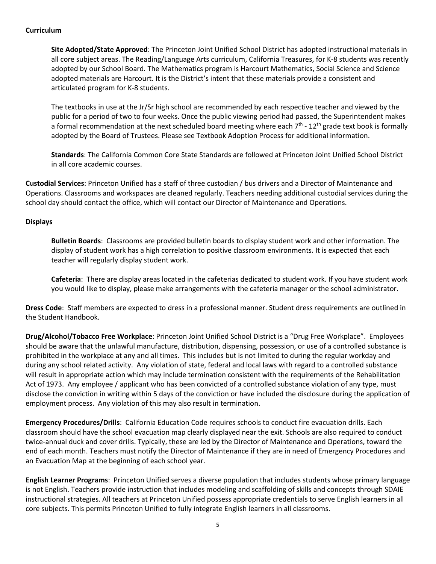# **Curriculum**

**Site Adopted/State Approved**: The Princeton Joint Unified School District has adopted instructional materials in all core subject areas. The Reading/Language Arts curriculum, California Treasures, for K-8 students was recently adopted by our School Board. The Mathematics program is Harcourt Mathematics, Social Science and Science adopted materials are Harcourt. It is the District's intent that these materials provide a consistent and articulated program for K-8 students.

The textbooks in use at the Jr/Sr high school are recommended by each respective teacher and viewed by the public for a period of two to four weeks. Once the public viewing period had passed, the Superintendent makes a formal recommendation at the next scheduled board meeting where each  $7<sup>th</sup>$  - 12<sup>th</sup> grade text book is formally adopted by the Board of Trustees. Please see Textbook Adoption Process for additional information.

**Standards**: The California Common Core State Standards are followed at Princeton Joint Unified School District in all core academic courses.

**Custodial Services**: Princeton Unified has a staff of three custodian / bus drivers and a Director of Maintenance and Operations. Classrooms and workspaces are cleaned regularly. Teachers needing additional custodial services during the school day should contact the office, which will contact our Director of Maintenance and Operations.

# **Displays**

**Bulletin Boards**: Classrooms are provided bulletin boards to display student work and other information. The display of student work has a high correlation to positive classroom environments. It is expected that each teacher will regularly display student work.

**Cafeteria**: There are display areas located in the cafeterias dedicated to student work. If you have student work you would like to display, please make arrangements with the cafeteria manager or the school administrator.

**Dress Code**: Staff members are expected to dress in a professional manner. Student dress requirements are outlined in the Student Handbook.

**Drug/Alcohol/Tobacco Free Workplace**: Princeton Joint Unified School District is a "Drug Free Workplace". Employees should be aware that the unlawful manufacture, distribution, dispensing, possession, or use of a controlled substance is prohibited in the workplace at any and all times. This includes but is not limited to during the regular workday and during any school related activity. Any violation of state, federal and local laws with regard to a controlled substance will result in appropriate action which may include termination consistent with the requirements of the Rehabilitation Act of 1973. Any employee / applicant who has been convicted of a controlled substance violation of any type, must disclose the conviction in writing within 5 days of the conviction or have included the disclosure during the application of employment process. Any violation of this may also result in termination.

**Emergency Procedures/Drills**: California Education Code requires schools to conduct fire evacuation drills. Each classroom should have the school evacuation map clearly displayed near the exit. Schools are also required to conduct twice-annual duck and cover drills. Typically, these are led by the Director of Maintenance and Operations, toward the end of each month. Teachers must notify the Director of Maintenance if they are in need of Emergency Procedures and an Evacuation Map at the beginning of each school year.

**English Learner Programs**: Princeton Unified serves a diverse population that includes students whose primary language is not English. Teachers provide instruction that includes modeling and scaffolding of skills and concepts through SDAIE instructional strategies. All teachers at Princeton Unified possess appropriate credentials to serve English learners in all core subjects. This permits Princeton Unified to fully integrate English learners in all classrooms.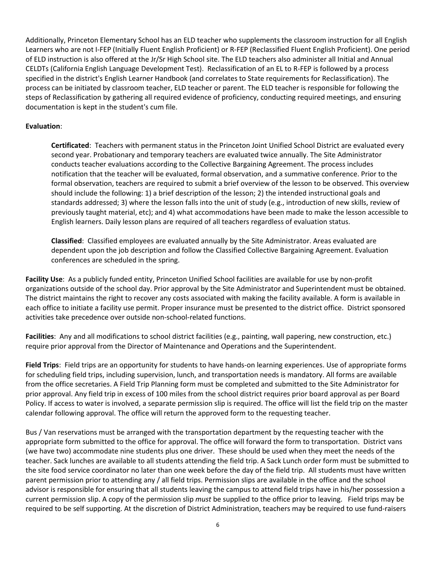Additionally, Princeton Elementary School has an ELD teacher who supplements the classroom instruction for all English Learners who are not I-FEP (Initially Fluent English Proficient) or R-FEP (Reclassified Fluent English Proficient). One period of ELD instruction is also offered at the Jr/Sr High School site. The ELD teachers also administer all Initial and Annual CELDTs (California English Language Development Test). Reclassification of an EL to R-FEP is followed by a process specified in the district's English Learner Handbook (and correlates to State requirements for Reclassification). The process can be initiated by classroom teacher, ELD teacher or parent. The ELD teacher is responsible for following the steps of Reclassification by gathering all required evidence of proficiency, conducting required meetings, and ensuring documentation is kept in the student's cum file.

# **Evaluation**:

**Certificated**: Teachers with permanent status in the Princeton Joint Unified School District are evaluated every second year. Probationary and temporary teachers are evaluated twice annually. The Site Administrator conducts teacher evaluations according to the Collective Bargaining Agreement. The process includes notification that the teacher will be evaluated, formal observation, and a summative conference. Prior to the formal observation, teachers are required to submit a brief overview of the lesson to be observed. This overview should include the following: 1) a brief description of the lesson; 2) the intended instructional goals and standards addressed; 3) where the lesson falls into the unit of study (e.g., introduction of new skills, review of previously taught material, etc); and 4) what accommodations have been made to make the lesson accessible to English learners. Daily lesson plans are required of all teachers regardless of evaluation status.

**Classified**: Classified employees are evaluated annually by the Site Administrator. Areas evaluated are dependent upon the job description and follow the Classified Collective Bargaining Agreement. Evaluation conferences are scheduled in the spring.

**Facility Use**: As a publicly funded entity, Princeton Unified School facilities are available for use by non-profit organizations outside of the school day. Prior approval by the Site Administrator and Superintendent must be obtained. The district maintains the right to recover any costs associated with making the facility available. A form is available in each office to initiate a facility use permit. Proper insurance must be presented to the district office. District sponsored activities take precedence over outside non-school-related functions.

**Facilities**: Any and all modifications to school district facilities (e.g., painting, wall papering, new construction, etc.) require prior approval from the Director of Maintenance and Operations and the Superintendent.

**Field Trips**: Field trips are an opportunity for students to have hands-on learning experiences. Use of appropriate forms for scheduling field trips, including supervision, lunch, and transportation needs is mandatory. All forms are available from the office secretaries. A Field Trip Planning form must be completed and submitted to the Site Administrator for prior approval. Any field trip in excess of 100 miles from the school district requires prior board approval as per Board Policy. If access to water is involved, a separate permission slip is required. The office will list the field trip on the master calendar following approval. The office will return the approved form to the requesting teacher.

Bus / Van reservations must be arranged with the transportation department by the requesting teacher with the appropriate form submitted to the office for approval. The office will forward the form to transportation. District vans (we have two) accommodate nine students plus one driver. These should be used when they meet the needs of the teacher. Sack lunches are available to all students attending the field trip. A Sack Lunch order form must be submitted to the site food service coordinator no later than one week before the day of the field trip. All students must have written parent permission prior to attending any / all field trips. Permission slips are available in the office and the school advisor is responsible for ensuring that all students leaving the campus to attend field trips have in his/her possession a current permission slip. A copy of the permission slip *must* be supplied to the office prior to leaving. Field trips may be required to be self supporting. At the discretion of District Administration, teachers may be required to use fund-raisers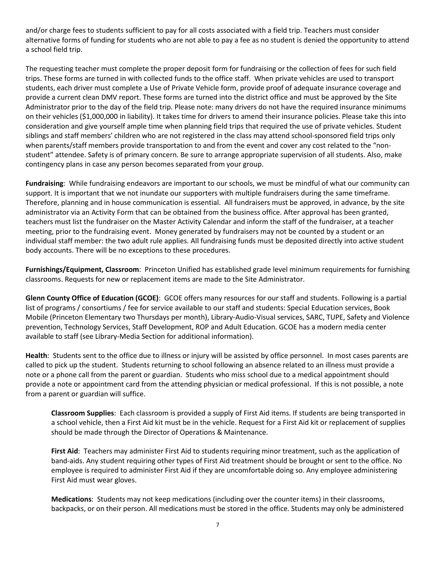and/or charge fees to students sufficient to pay for all costs associated with a field trip. Teachers must consider alternative forms of funding for students who are not able to pay a fee as no student is denied the opportunity to attend a school field trip.

The requesting teacher must complete the proper deposit form for fundraising or the collection of fees for such field trips. These forms are turned in with collected funds to the office staff. When private vehicles are used to transport students, each driver must complete a Use of Private Vehicle form, provide proof of adequate insurance coverage and provide a current clean DMV report. These forms are turned into the district office and must be approved by the Site Administrator prior to the day of the field trip. Please note: many drivers do not have the required insurance minimums on their vehicles (\$1,000,000 in liability). It takes time for drivers to amend their insurance policies. Please take this into consideration and give yourself ample time when planning field trips that required the use of private vehicles. Student siblings and staff members' children who are not registered in the class may attend school-sponsored field trips only when parents/staff members provide transportation to and from the event and cover any cost related to the "nonstudent" attendee. Safety is of primary concern. Be sure to arrange appropriate supervision of all students. Also, make contingency plans in case any person becomes separated from your group.

**Fundraising**: While fundraising endeavors are important to our schools, we must be mindful of what our community can support. It is important that we not inundate our supporters with multiple fundraisers during the same timeframe. Therefore, planning and in house communication is essential. All fundraisers must be approved, in advance, by the site administrator via an Activity Form that can be obtained from the business office. After approval has been granted, teachers must list the fundraiser on the Master Activity Calendar and inform the staff of the fundraiser, at a teacher meeting, prior to the fundraising event. Money generated by fundraisers may not be counted by a student or an individual staff member: the two adult rule applies. All fundraising funds must be deposited directly into active student body accounts. There will be no exceptions to these procedures.

**Furnishings/Equipment, Classroom**: Princeton Unified has established grade level minimum requirements for furnishing classrooms. Requests for new or replacement items are made to the Site Administrator.

**Glenn County Office of Education (GCOE)**: GCOE offers many resources for our staff and students. Following is a partial list of programs / consortiums / fee for service available to our staff and students: Special Education services, Book Mobile (Princeton Elementary two Thursdays per month), Library-Audio-Visual services, SARC, TUPE, Safety and Violence prevention, Technology Services, Staff Development, ROP and Adult Education. GCOE has a modern media center available to staff (see Library-Media Section for additional information).

**Health**: Students sent to the office due to illness or injury will be assisted by office personnel. In most cases parents are called to pick up the student. Students returning to school following an absence related to an illness must provide a note or a phone call from the parent or guardian. Students who miss school due to a medical appointment should provide a note or appointment card from the attending physician or medical professional. If this is not possible, a note from a parent or guardian will suffice.

**Classroom Supplies**: Each classroom is provided a supply of First Aid items. If students are being transported in a school vehicle, then a First Aid kit must be in the vehicle. Request for a First Aid kit or replacement of supplies should be made through the Director of Operations & Maintenance.

**First Aid**: Teachers may administer First Aid to students requiring minor treatment, such as the application of band-aids. Any student requiring other types of First Aid treatment should be brought or sent to the office. No employee is required to administer First Aid if they are uncomfortable doing so. Any employee administering First Aid must wear gloves.

**Medications**: Students may not keep medications (including over the counter items) in their classrooms, backpacks, or on their person. All medications must be stored in the office. Students may only be administered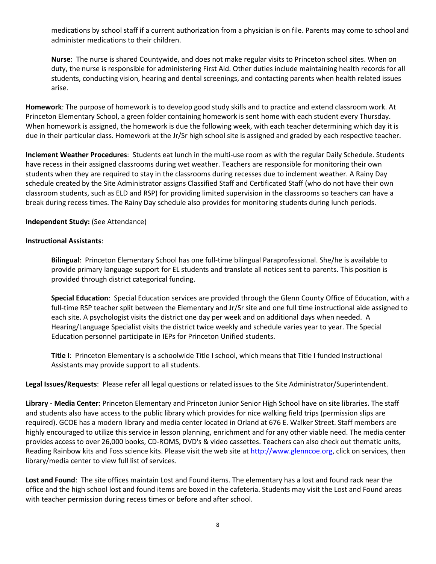medications by school staff if a current authorization from a physician is on file. Parents may come to school and administer medications to their children.

**Nurse**: The nurse is shared Countywide, and does not make regular visits to Princeton school sites. When on duty, the nurse is responsible for administering First Aid. Other duties include maintaining health records for all students, conducting vision, hearing and dental screenings, and contacting parents when health related issues arise.

**Homework**: The purpose of homework is to develop good study skills and to practice and extend classroom work. At Princeton Elementary School, a green folder containing homework is sent home with each student every Thursday. When homework is assigned, the homework is due the following week, with each teacher determining which day it is due in their particular class. Homework at the Jr/Sr high school site is assigned and graded by each respective teacher.

**Inclement Weather Procedures**: Students eat lunch in the multi-use room as with the regular Daily Schedule. Students have recess in their assigned classrooms during wet weather. Teachers are responsible for monitoring their own students when they are required to stay in the classrooms during recesses due to inclement weather. A Rainy Day schedule created by the Site Administrator assigns Classified Staff and Certificated Staff (who do not have their own classroom students, such as ELD and RSP) for providing limited supervision in the classrooms so teachers can have a break during recess times. The Rainy Day schedule also provides for monitoring students during lunch periods.

# **Independent Study:** (See Attendance)

# **Instructional Assistants**:

**Bilingual**: Princeton Elementary School has one full-time bilingual Paraprofessional. She/he is available to provide primary language support for EL students and translate all notices sent to parents. This position is provided through district categorical funding.

**Special Education**: Special Education services are provided through the Glenn County Office of Education, with a full-time RSP teacher split between the Elementary and Jr/Sr site and one full time instructional aide assigned to each site. A psychologist visits the district one day per week and on additional days when needed. A Hearing/Language Specialist visits the district twice weekly and schedule varies year to year. The Special Education personnel participate in IEPs for Princeton Unified students.

**Title I**: Princeton Elementary is a schoolwide Title I school, which means that Title I funded Instructional Assistants may provide support to all students.

**Legal Issues/Requests**: Please refer all legal questions or related issues to the Site Administrator/Superintendent.

**Library - Media Center**: Princeton Elementary and Princeton Junior Senior High School have on site libraries. The staff and students also have access to the public library which provides for nice walking field trips (permission slips are required). GCOE has a modern library and media center located in Orland at 676 E. Walker Street. Staff members are highly encouraged to utilize this service in lesson planning, enrichment and for any other viable need. The media center provides access to over 26,000 books, CD-ROMS, DVD's & video cassettes. Teachers can also check out thematic units, Reading Rainbow kits and Foss science kits. Please visit the web site at [http://www.glenncoe.org,](https://exchange.glenncoe.org/owa/redir.aspx?C=2741b6151c064acca75e2ab11f5500b3&URL=http%3a%2f%2fwww.glenncoe.org%2f) click on services, then library/media center to view full list of services.

**Lost and Found**: The site offices maintain Lost and Found items. The elementary has a lost and found rack near the office and the high school lost and found items are boxed in the cafeteria. Students may visit the Lost and Found areas with teacher permission during recess times or before and after school.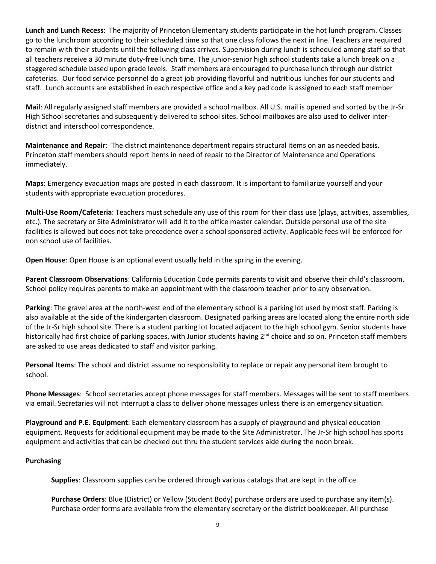**Lunch and Lunch Recess**: The majority of Princeton Elementary students participate in the hot lunch program. Classes go to the lunchroom according to their scheduled time so that one class follows the next in line. Teachers are required to remain with their students until the following class arrives. Supervision during lunch is scheduled among staff so that all teachers receive a 30 minute duty-free lunch time. The junior-senior high school students take a lunch break on a staggered schedule based upon grade levels. Staff members are encouraged to purchase lunch through our district cafeterias. Our food service personnel do a great job providing flavorful and nutritious lunches for our students and staff. Lunch accounts are established in each respective office and a key pad code is assigned to each staff member

**Mail**: All regularly assigned staff members are provided a school mailbox. All U.S. mail is opened and sorted by the Jr-Sr High School secretaries and subsequently delivered to school sites. School mailboxes are also used to deliver interdistrict and interschool correspondence.

**Maintenance and Repair**: The district maintenance department repairs structural items on an as needed basis. Princeton staff members should report items in need of repair to the Director of Maintenance and Operations immediately.

**Maps**: Emergency evacuation maps are posted in each classroom. It is important to familiarize yourself and your students with appropriate evacuation procedures.

**Multi-Use Room/Cafeteria**: Teachers must schedule any use of this room for their class use (plays, activities, assemblies, etc.). The secretary or Site Administrator will add it to the office master calendar. Outside personal use of the site facilities is allowed but does not take precedence over a school sponsored activity. Applicable fees will be enforced for non school use of facilities.

**Open House**: Open House is an optional event usually held in the spring in the evening.

**Parent Classroom Observations**: California Education Code permits parents to visit and observe their child's classroom. School policy requires parents to make an appointment with the classroom teacher prior to any observation.

**Parking**: The gravel area at the north-west end of the elementary school is a parking lot used by most staff. Parking is also available at the side of the kindergarten classroom. Designated parking areas are located along the entire north side of the Jr-Sr high school site. There is a student parking lot located adjacent to the high school gym. Senior students have historically had first choice of parking spaces, with Junior students having 2<sup>nd</sup> choice and so on. Princeton staff members are asked to use areas dedicated to staff and visitor parking.

**Personal Items**: The school and district assume no responsibility to replace or repair any personal item brought to school.

**Phone Messages**: School secretaries accept phone messages for staff members. Messages will be sent to staff members via email. Secretaries will not interrupt a class to deliver phone messages unless there is an emergency situation.

**Playground and P.E. Equipment**: Each elementary classroom has a supply of playground and physical education equipment. Requests for additional equipment may be made to the Site Administrator. The Jr-Sr high school has sports equipment and activities that can be checked out thru the student services aide during the noon break.

# **Purchasing**

**Supplies**: Classroom supplies can be ordered through various catalogs that are kept in the office.

**Purchase Orders**: Blue (District) or Yellow (Student Body) purchase orders are used to purchase any item(s). Purchase order forms are available from the elementary secretary or the district bookkeeper. All purchase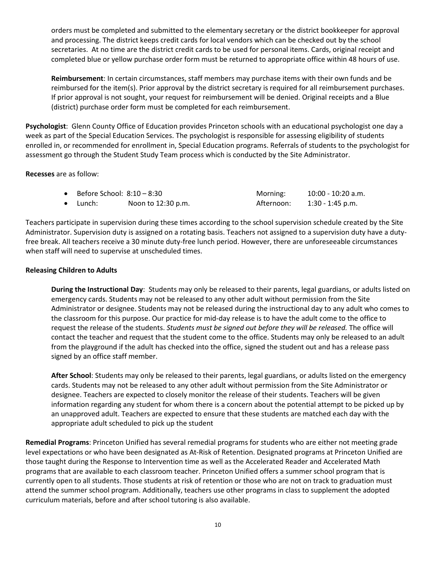orders must be completed and submitted to the elementary secretary or the district bookkeeper for approval and processing. The district keeps credit cards for local vendors which can be checked out by the school secretaries. At no time are the district credit cards to be used for personal items. Cards, original receipt and completed blue or yellow purchase order form must be returned to appropriate office within 48 hours of use.

**Reimbursement**: In certain circumstances, staff members may purchase items with their own funds and be reimbursed for the item(s). Prior approval by the district secretary is required for all reimbursement purchases. If prior approval is not sought, your request for reimbursement will be denied. Original receipts and a Blue (district) purchase order form must be completed for each reimbursement.

**Psychologist**: Glenn County Office of Education provides Princeton schools with an educational psychologist one day a week as part of the Special Education Services. The psychologist is responsible for assessing eligibility of students enrolled in, or recommended for enrollment in, Special Education programs. Referrals of students to the psychologist for assessment go through the Student Study Team process which is conducted by the Site Administrator.

**Recesses** are as follow:

| Before School: 8:10 – 8:30 |                    | Morning:   | 10:00 - 10:20 a.m. |
|----------------------------|--------------------|------------|--------------------|
| $\bullet$ Lunch:           | Noon to 12:30 p.m. | Afternoon: | 1:30 - 1:45 p.m.   |

Teachers participate in supervision during these times according to the school supervision schedule created by the Site Administrator. Supervision duty is assigned on a rotating basis. Teachers not assigned to a supervision duty have a dutyfree break. All teachers receive a 30 minute duty-free lunch period. However, there are unforeseeable circumstances when staff will need to supervise at unscheduled times.

# **Releasing Children to Adults**

**During the Instructional Day**: Students may only be released to their parents, legal guardians, or adults listed on emergency cards. Students may not be released to any other adult without permission from the Site Administrator or designee. Students may not be released during the instructional day to any adult who comes to the classroom for this purpose. Our practice for mid-day release is to have the adult come to the office to request the release of the students. *Students must be signed out before they will be released.* The office will contact the teacher and request that the student come to the office. Students may only be released to an adult from the playground if the adult has checked into the office, signed the student out and has a release pass signed by an office staff member.

**After School**: Students may only be released to their parents, legal guardians, or adults listed on the emergency cards. Students may not be released to any other adult without permission from the Site Administrator or designee. Teachers are expected to closely monitor the release of their students. Teachers will be given information regarding any student for whom there is a concern about the potential attempt to be picked up by an unapproved adult. Teachers are expected to ensure that these students are matched each day with the appropriate adult scheduled to pick up the student

**Remedial Programs**: Princeton Unified has several remedial programs for students who are either not meeting grade level expectations or who have been designated as At-Risk of Retention. Designated programs at Princeton Unified are those taught during the Response to Intervention time as well as the Accelerated Reader and Accelerated Math programs that are available to each classroom teacher. Princeton Unified offers a summer school program that is currently open to all students. Those students at risk of retention or those who are not on track to graduation must attend the summer school program. Additionally, teachers use other programs in class to supplement the adopted curriculum materials, before and after school tutoring is also available.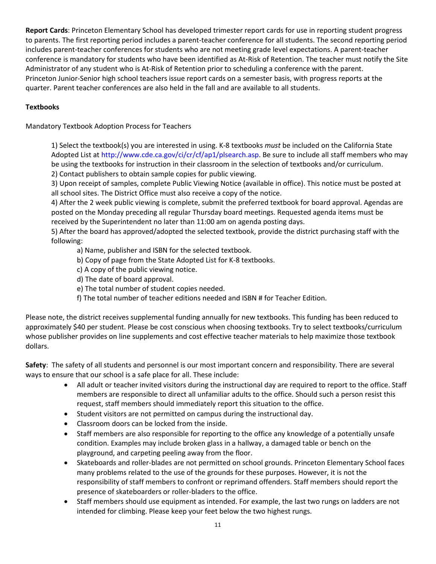**Report Cards**: Princeton Elementary School has developed trimester report cards for use in reporting student progress to parents. The first reporting period includes a parent-teacher conference for all students. The second reporting period includes parent-teacher conferences for students who are not meeting grade level expectations. A parent-teacher conference is mandatory for students who have been identified as At-Risk of Retention. The teacher must notify the Site Administrator of any student who is At-Risk of Retention prior to scheduling a conference with the parent. Princeton Junior-Senior high school teachers issue report cards on a semester basis, with progress reports at the quarter. Parent teacher conferences are also held in the fall and are available to all students.

# **Textbooks**

Mandatory Textbook Adoption Process for Teachers

1) Select the textbook(s) you are interested in using. K-8 textbooks *must* be included on the California State Adopted List at [http://www.cde.ca.gov/ci/cr/cf/ap1/plsearch.asp.](https://exchange.glenncoe.org/owa/redir.aspx?C=2741b6151c064acca75e2ab11f5500b3&URL=http%3a%2f%2fwww.cde.ca.gov%2fci%2fcr%2fcf%2fap1%2fplsearch.asp) Be sure to include all staff members who may be using the textbooks for instruction in their classroom in the selection of textbooks and/or curriculum. 2) Contact publishers to obtain sample copies for public viewing.

3) Upon receipt of samples, complete Public Viewing Notice (available in office). This notice must be posted at all school sites. The District Office must also receive a copy of the notice.

4) After the 2 week public viewing is complete, submit the preferred textbook for board approval. Agendas are posted on the Monday preceding all regular Thursday board meetings. Requested agenda items must be received by the Superintendent no later than 11:00 am on agenda posting days.

5) After the board has approved/adopted the selected textbook, provide the district purchasing staff with the following:

a) Name, publisher and ISBN for the selected textbook.

- b) Copy of page from the State Adopted List for K-8 textbooks.
- c) A copy of the public viewing notice.
- d) The date of board approval.
- e) The total number of student copies needed.
- f) The total number of teacher editions needed and ISBN # for Teacher Edition.

Please note, the district receives supplemental funding annually for new textbooks. This funding has been reduced to approximately \$40 per student. Please be cost conscious when choosing textbooks. Try to select textbooks/curriculum whose publisher provides on line supplements and cost effective teacher materials to help maximize those textbook dollars.

**Safety**: The safety of all students and personnel is our most important concern and responsibility. There are several ways to ensure that our school is a safe place for all. These include:

- All adult or teacher invited visitors during the instructional day are required to report to the office. Staff members are responsible to direct all unfamiliar adults to the office. Should such a person resist this request, staff members should immediately report this situation to the office.
- Student visitors are not permitted on campus during the instructional day.
- Classroom doors can be locked from the inside.
- Staff members are also responsible for reporting to the office any knowledge of a potentially unsafe condition. Examples may include broken glass in a hallway, a damaged table or bench on the playground, and carpeting peeling away from the floor.
- Skateboards and roller-blades are not permitted on school grounds. Princeton Elementary School faces many problems related to the use of the grounds for these purposes. However, it is not the responsibility of staff members to confront or reprimand offenders. Staff members should report the presence of skateboarders or roller-bladers to the office.
- Staff members should use equipment as intended. For example, the last two rungs on ladders are not intended for climbing. Please keep your feet below the two highest rungs.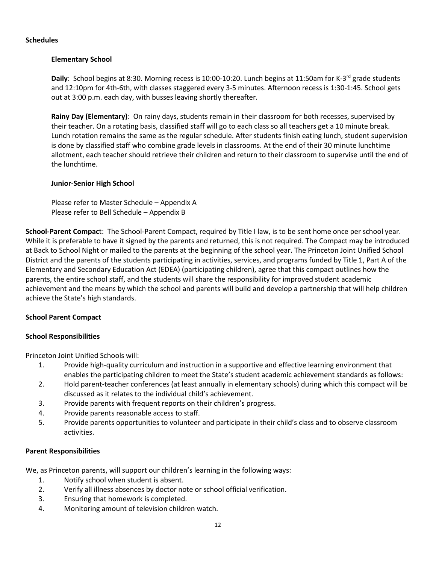#### **Schedules**

# **Elementary School**

Daily: School begins at 8:30. Morning recess is 10:00-10:20. Lunch begins at 11:50am for K-3<sup>rd</sup> grade students and 12:10pm for 4th-6th, with classes staggered every 3-5 minutes. Afternoon recess is 1:30-1:45. School gets out at 3:00 p.m. each day, with busses leaving shortly thereafter.

**Rainy Day (Elementary)**: On rainy days, students remain in their classroom for both recesses, supervised by their teacher. On a rotating basis, classified staff will go to each class so all teachers get a 10 minute break. Lunch rotation remains the same as the regular schedule. After students finish eating lunch, student supervision is done by classified staff who combine grade levels in classrooms. At the end of their 30 minute lunchtime allotment, each teacher should retrieve their children and return to their classroom to supervise until the end of the lunchtime.

# **Junior-Senior High School**

Please refer to Master Schedule – Appendix A Please refer to Bell Schedule – Appendix B

**School-Parent Compac**t: The School-Parent Compact, required by Title I law, is to be sent home once per school year. While it is preferable to have it signed by the parents and returned, this is not required. The Compact may be introduced at Back to School Night or mailed to the parents at the beginning of the school year. The Princeton Joint Unified School District and the parents of the students participating in activities, services, and programs funded by Title 1, Part A of the Elementary and Secondary Education Act (EDEA) (participating children), agree that this compact outlines how the parents, the entire school staff, and the students will share the responsibility for improved student academic achievement and the means by which the school and parents will build and develop a partnership that will help children achieve the State's high standards.

# **School Parent Compact**

# **School Responsibilities**

Princeton Joint Unified Schools will:

- 1. Provide high-quality curriculum and instruction in a supportive and effective learning environment that enables the participating children to meet the State's student academic achievement standards as follows:
- 2. Hold parent-teacher conferences (at least annually in elementary schools) during which this compact will be discussed as it relates to the individual child's achievement.
- 3. Provide parents with frequent reports on their children's progress.
- 4. Provide parents reasonable access to staff.
- 5. Provide parents opportunities to volunteer and participate in their child's class and to observe classroom activities.

# **Parent Responsibilities**

We, as Princeton parents, will support our children's learning in the following ways:

- 1. Notify school when student is absent.
- 2. Verify all illness absences by doctor note or school official verification.
- 3. Ensuring that homework is completed.
- 4. Monitoring amount of television children watch.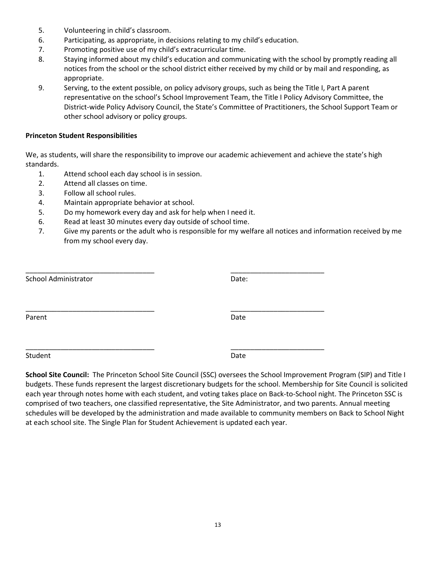- 5. Volunteering in child's classroom.
- 6. Participating, as appropriate, in decisions relating to my child's education.
- 7. Promoting positive use of my child's extracurricular time.
- 8. Staying informed about my child's education and communicating with the school by promptly reading all notices from the school or the school district either received by my child or by mail and responding, as appropriate.
- 9. Serving, to the extent possible, on policy advisory groups, such as being the Title I, Part A parent representative on the school's School Improvement Team, the Title I Policy Advisory Committee, the District-wide Policy Advisory Council, the State's Committee of Practitioners, the School Support Team or other school advisory or policy groups.

#### **Princeton Student Responsibilities**

We, as students, will share the responsibility to improve our academic achievement and achieve the state's high standards.

- 1. Attend school each day school is in session.
- 2. Attend all classes on time.
- 3. Follow all school rules.
- 4. Maintain appropriate behavior at school.
- 5. Do my homework every day and ask for help when I need it.
- 6. Read at least 30 minutes every day outside of school time.
- 7. Give my parents or the adult who is responsible for my welfare all notices and information received by me from my school every day.

| School Administrator | Date: |
|----------------------|-------|
| Parent               | Date  |
| Student              | Date  |

**School Site Council:** The Princeton School Site Council (SSC) oversees the School Improvement Program (SIP) and Title I budgets. These funds represent the largest discretionary budgets for the school. Membership for Site Council is solicited each year through notes home with each student, and voting takes place on Back-to-School night. The Princeton SSC is comprised of two teachers, one classified representative, the Site Administrator, and two parents. Annual meeting schedules will be developed by the administration and made available to community members on Back to School Night at each school site. The Single Plan for Student Achievement is updated each year.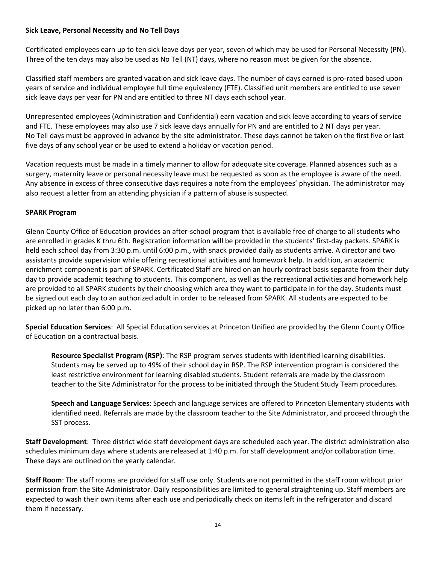# **Sick Leave, Personal Necessity and No Tell Days**

Certificated employees earn up to ten sick leave days per year, seven of which may be used for Personal Necessity (PN). Three of the ten days may also be used as No Tell (NT) days, where no reason must be given for the absence.

Classified staff members are granted vacation and sick leave days. The number of days earned is pro-rated based upon years of service and individual employee full time equivalency (FTE). Classified unit members are entitled to use seven sick leave days per year for PN and are entitled to three NT days each school year.

Unrepresented employees (Administration and Confidential) earn vacation and sick leave according to years of service and FTE. These employees may also use 7 sick leave days annually for PN and are entitled to 2 NT days per year. No Tell days must be approved in advance by the site administrator. These days cannot be taken on the first five or last five days of any school year or be used to extend a holiday or vacation period.

Vacation requests must be made in a timely manner to allow for adequate site coverage. Planned absences such as a surgery, maternity leave or personal necessity leave must be requested as soon as the employee is aware of the need. Any absence in excess of three consecutive days requires a note from the employees' physician. The administrator may also request a letter from an attending physician if a pattern of abuse is suspected.

# **SPARK Program**

Glenn County Office of Education provides an after-school program that is available free of charge to all students who are enrolled in grades K thru 6th. Registration information will be provided in the students' first-day packets. SPARK is held each school day from 3:30 p.m. until 6:00 p.m., with snack provided daily as students arrive. A director and two assistants provide supervision while offering recreational activities and homework help. In addition, an academic enrichment component is part of SPARK. Certificated Staff are hired on an hourly contract basis separate from their duty day to provide academic teaching to students. This component, as well as the recreational activities and homework help are provided to all SPARK students by their choosing which area they want to participate in for the day. Students must be signed out each day to an authorized adult in order to be released from SPARK. All students are expected to be picked up no later than 6:00 p.m.

**Special Education Services**: All Special Education services at Princeton Unified are provided by the Glenn County Office of Education on a contractual basis.

**Resource Specialist Program (RSP)**: The RSP program serves students with identified learning disabilities. Students may be served up to 49% of their school day in RSP. The RSP intervention program is considered the least restrictive environment for learning disabled students. Student referrals are made by the classroom teacher to the Site Administrator for the process to be initiated through the Student Study Team procedures.

**Speech and Language Services**: Speech and language services are offered to Princeton Elementary students with identified need. Referrals are made by the classroom teacher to the Site Administrator, and proceed through the SST process.

**Staff Development**: Three district wide staff development days are scheduled each year. The district administration also schedules minimum days where students are released at 1:40 p.m. for staff development and/or collaboration time. These days are outlined on the yearly calendar.

**Staff Room**: The staff rooms are provided for staff use only. Students are not permitted in the staff room without prior permission from the Site Administrator. Daily responsibilities are limited to general straightening up. Staff members are expected to wash their own items after each use and periodically check on items left in the refrigerator and discard them if necessary.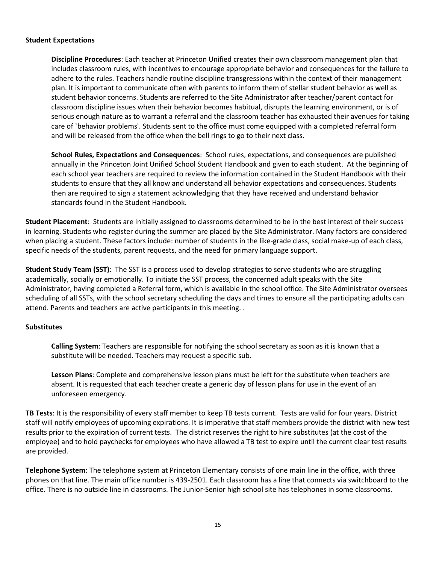#### **Student Expectations**

**Discipline Procedures**: Each teacher at Princeton Unified creates their own classroom management plan that includes classroom rules, with incentives to encourage appropriate behavior and consequences for the failure to adhere to the rules. Teachers handle routine discipline transgressions within the context of their management plan. It is important to communicate often with parents to inform them of stellar student behavior as well as student behavior concerns. Students are referred to the Site Administrator after teacher/parent contact for classroom discipline issues when their behavior becomes habitual, disrupts the learning environment, or is of serious enough nature as to warrant a referral and the classroom teacher has exhausted their avenues for taking care of `behavior problems'. Students sent to the office must come equipped with a completed referral form and will be released from the office when the bell rings to go to their next class.

**School Rules, Expectations and Consequences**: School rules, expectations, and consequences are published annually in the Princeton Joint Unified School Student Handbook and given to each student. At the beginning of each school year teachers are required to review the information contained in the Student Handbook with their students to ensure that they all know and understand all behavior expectations and consequences. Students then are required to sign a statement acknowledging that they have received and understand behavior standards found in the Student Handbook.

**Student Placement**: Students are initially assigned to classrooms determined to be in the best interest of their success in learning. Students who register during the summer are placed by the Site Administrator. Many factors are considered when placing a student. These factors include: number of students in the like-grade class, social make-up of each class, specific needs of the students, parent requests, and the need for primary language support.

**Student Study Team (SST)**: The SST is a process used to develop strategies to serve students who are struggling academically, socially or emotionally. To initiate the SST process, the concerned adult speaks with the Site Administrator, having completed a Referral form, which is available in the school office. The Site Administrator oversees scheduling of all SSTs, with the school secretary scheduling the days and times to ensure all the participating adults can attend. Parents and teachers are active participants in this meeting. .

# **Substitutes**

**Calling System**: Teachers are responsible for notifying the school secretary as soon as it is known that a substitute will be needed. Teachers may request a specific sub.

**Lesson Plans**: Complete and comprehensive lesson plans must be left for the substitute when teachers are absent. It is requested that each teacher create a generic day of lesson plans for use in the event of an unforeseen emergency.

**TB Tests**: It is the responsibility of every staff member to keep TB tests current. Tests are valid for four years. District staff will notify employees of upcoming expirations. It is imperative that staff members provide the district with new test results prior to the expiration of current tests. The district reserves the right to hire substitutes (at the cost of the employee) and to hold paychecks for employees who have allowed a TB test to expire until the current clear test results are provided.

**Telephone System**: The telephone system at Princeton Elementary consists of one main line in the office, with three phones on that line. The main office number is 439-2501. Each classroom has a line that connects via switchboard to the office. There is no outside line in classrooms. The Junior-Senior high school site has telephones in some classrooms.